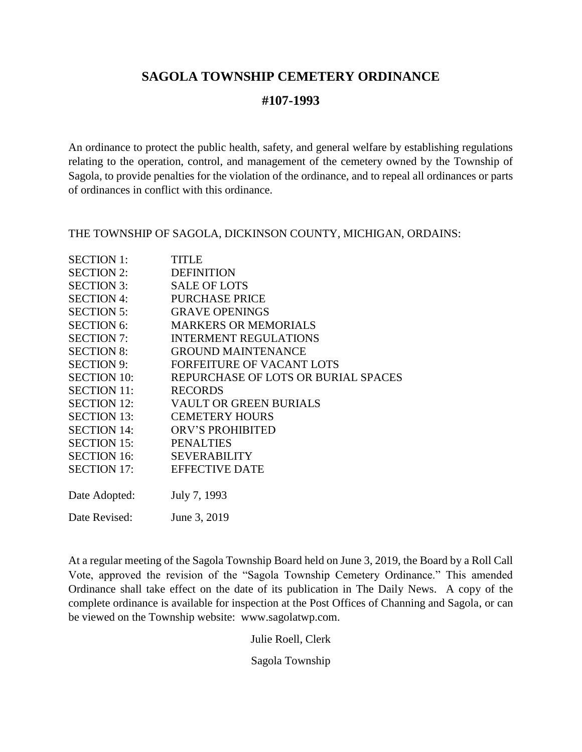# **SAGOLA TOWNSHIP CEMETERY ORDINANCE**

## **#107-1993**

An ordinance to protect the public health, safety, and general welfare by establishing regulations relating to the operation, control, and management of the cemetery owned by the Township of Sagola, to provide penalties for the violation of the ordinance, and to repeal all ordinances or parts of ordinances in conflict with this ordinance.

THE TOWNSHIP OF SAGOLA, DICKINSON COUNTY, MICHIGAN, ORDAINS:

| <b>SECTION 1:</b>  | <b>TITLE</b>                        |
|--------------------|-------------------------------------|
| <b>SECTION 2:</b>  | <b>DEFINITION</b>                   |
| <b>SECTION 3:</b>  | <b>SALE OF LOTS</b>                 |
| <b>SECTION 4:</b>  | <b>PURCHASE PRICE</b>               |
| <b>SECTION 5:</b>  | <b>GRAVE OPENINGS</b>               |
| <b>SECTION 6:</b>  | <b>MARKERS OR MEMORIALS</b>         |
| <b>SECTION 7:</b>  | <b>INTERMENT REGULATIONS</b>        |
| <b>SECTION 8:</b>  | <b>GROUND MAINTENANCE</b>           |
| <b>SECTION 9:</b>  | FORFEITURE OF VACANT LOTS           |
| <b>SECTION 10:</b> | REPURCHASE OF LOTS OR BURIAL SPACES |
| <b>SECTION 11:</b> | <b>RECORDS</b>                      |
| <b>SECTION 12:</b> | <b>VAULT OR GREEN BURIALS</b>       |
| <b>SECTION 13:</b> | <b>CEMETERY HOURS</b>               |
| <b>SECTION 14:</b> | ORV'S PROHIBITED                    |
| <b>SECTION 15:</b> | <b>PENALTIES</b>                    |
| <b>SECTION 16:</b> | <b>SEVERABILITY</b>                 |
| <b>SECTION 17:</b> | <b>EFFECTIVE DATE</b>               |
|                    |                                     |
| Date Adopted:      | July 7, 1993                        |
| Date Revised:      | June 3, 2019                        |

At a regular meeting of the Sagola Township Board held on June 3, 2019, the Board by a Roll Call Vote, approved the revision of the "Sagola Township Cemetery Ordinance." This amended Ordinance shall take effect on the date of its publication in The Daily News. A copy of the complete ordinance is available for inspection at the Post Offices of Channing and Sagola, or can be viewed on the Township website: www.sagolatwp.com.

Julie Roell, Clerk

Sagola Township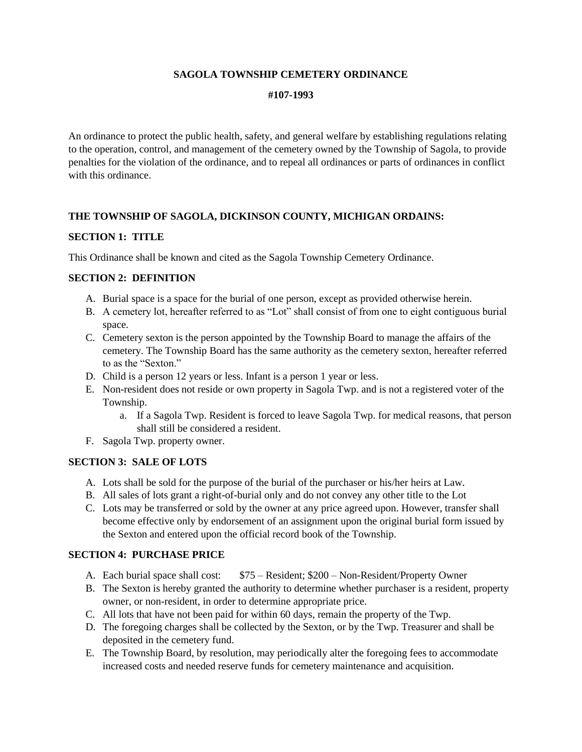### **SAGOLA TOWNSHIP CEMETERY ORDINANCE**

#### **#107-1993**

An ordinance to protect the public health, safety, and general welfare by establishing regulations relating to the operation, control, and management of the cemetery owned by the Township of Sagola, to provide penalties for the violation of the ordinance, and to repeal all ordinances or parts of ordinances in conflict with this ordinance.

### **THE TOWNSHIP OF SAGOLA, DICKINSON COUNTY, MICHIGAN ORDAINS:**

### **SECTION 1: TITLE**

This Ordinance shall be known and cited as the Sagola Township Cemetery Ordinance.

### **SECTION 2: DEFINITION**

- A. Burial space is a space for the burial of one person, except as provided otherwise herein.
- B. A cemetery lot, hereafter referred to as "Lot" shall consist of from one to eight contiguous burial space.
- C. Cemetery sexton is the person appointed by the Township Board to manage the affairs of the cemetery. The Township Board has the same authority as the cemetery sexton, hereafter referred to as the "Sexton."
- D. Child is a person 12 years or less. Infant is a person 1 year or less.
- E. Non-resident does not reside or own property in Sagola Twp. and is not a registered voter of the Township.
	- a. If a Sagola Twp. Resident is forced to leave Sagola Twp. for medical reasons, that person shall still be considered a resident.
- F. Sagola Twp. property owner.

#### **SECTION 3: SALE OF LOTS**

- A. Lots shall be sold for the purpose of the burial of the purchaser or his/her heirs at Law.
- B. All sales of lots grant a right-of-burial only and do not convey any other title to the Lot
- C. Lots may be transferred or sold by the owner at any price agreed upon. However, transfer shall become effective only by endorsement of an assignment upon the original burial form issued by the Sexton and entered upon the official record book of the Township.

#### **SECTION 4: PURCHASE PRICE**

- A. Each burial space shall cost: \$75 Resident; \$200 Non-Resident/Property Owner
- B. The Sexton is hereby granted the authority to determine whether purchaser is a resident, property owner, or non-resident, in order to determine appropriate price.
- C. All lots that have not been paid for within 60 days, remain the property of the Twp.
- D. The foregoing charges shall be collected by the Sexton, or by the Twp. Treasurer and shall be deposited in the cemetery fund.
- E. The Township Board, by resolution, may periodically alter the foregoing fees to accommodate increased costs and needed reserve funds for cemetery maintenance and acquisition.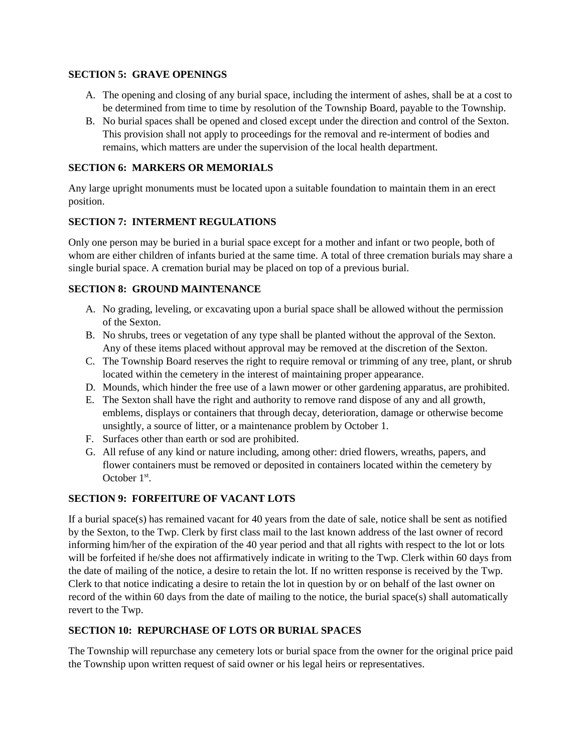### **SECTION 5: GRAVE OPENINGS**

- A. The opening and closing of any burial space, including the interment of ashes, shall be at a cost to be determined from time to time by resolution of the Township Board, payable to the Township.
- B. No burial spaces shall be opened and closed except under the direction and control of the Sexton. This provision shall not apply to proceedings for the removal and re-interment of bodies and remains, which matters are under the supervision of the local health department.

### **SECTION 6: MARKERS OR MEMORIALS**

Any large upright monuments must be located upon a suitable foundation to maintain them in an erect position.

### **SECTION 7: INTERMENT REGULATIONS**

Only one person may be buried in a burial space except for a mother and infant or two people, both of whom are either children of infants buried at the same time. A total of three cremation burials may share a single burial space. A cremation burial may be placed on top of a previous burial.

### **SECTION 8: GROUND MAINTENANCE**

- A. No grading, leveling, or excavating upon a burial space shall be allowed without the permission of the Sexton.
- B. No shrubs, trees or vegetation of any type shall be planted without the approval of the Sexton. Any of these items placed without approval may be removed at the discretion of the Sexton.
- C. The Township Board reserves the right to require removal or trimming of any tree, plant, or shrub located within the cemetery in the interest of maintaining proper appearance.
- D. Mounds, which hinder the free use of a lawn mower or other gardening apparatus, are prohibited.
- E. The Sexton shall have the right and authority to remove rand dispose of any and all growth, emblems, displays or containers that through decay, deterioration, damage or otherwise become unsightly, a source of litter, or a maintenance problem by October 1.
- F. Surfaces other than earth or sod are prohibited.
- G. All refuse of any kind or nature including, among other: dried flowers, wreaths, papers, and flower containers must be removed or deposited in containers located within the cemetery by October  $1<sup>st</sup>$ .

### **SECTION 9: FORFEITURE OF VACANT LOTS**

If a burial space(s) has remained vacant for 40 years from the date of sale, notice shall be sent as notified by the Sexton, to the Twp. Clerk by first class mail to the last known address of the last owner of record informing him/her of the expiration of the 40 year period and that all rights with respect to the lot or lots will be forfeited if he/she does not affirmatively indicate in writing to the Twp. Clerk within 60 days from the date of mailing of the notice, a desire to retain the lot. If no written response is received by the Twp. Clerk to that notice indicating a desire to retain the lot in question by or on behalf of the last owner on record of the within 60 days from the date of mailing to the notice, the burial space(s) shall automatically revert to the Twp.

### **SECTION 10: REPURCHASE OF LOTS OR BURIAL SPACES**

The Township will repurchase any cemetery lots or burial space from the owner for the original price paid the Township upon written request of said owner or his legal heirs or representatives.